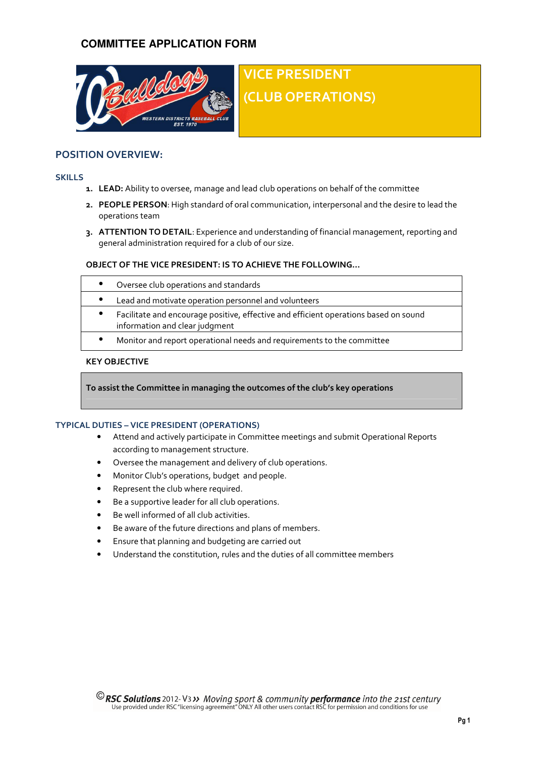# **COMMITTEE APPLICATION FORM**



# VICE PRESIDENT (CLUB OPERATIONS)

# POSITION OVERVIEW:

### **SKILLS**

- 1. LEAD: Ability to oversee, manage and lead club operations on behalf of the committee
- 2. PEOPLE PERSON: High standard of oral communication, interpersonal and the desire to lead the operations team
- 3. ATTENTION TO DETAIL: Experience and understanding of financial management, reporting and general administration required for a club of our size.

## OBJECT OF THE VICE PRESIDENT: IS TO ACHIEVE THE FOLLOWING…

| Oversee club operations and standards                                                                                  |
|------------------------------------------------------------------------------------------------------------------------|
| Lead and motivate operation personnel and volunteers                                                                   |
| Facilitate and encourage positive, effective and efficient operations based on sound<br>information and clear judgment |
| Monitor and report operational needs and requirements to the committee                                                 |

## KEY OBJECTIVE

To assist the Committee in managing the outcomes of the club's key operations

## TYPICAL DUTIES – VICE PRESIDENT (OPERATIONS)

- Attend and actively participate in Committee meetings and submit Operational Reports according to management structure.
- Oversee the management and delivery of club operations.
- Monitor Club's operations, budget and people.
- Represent the club where required.
- Be a supportive leader for all club operations.
- Be well informed of all club activities.
- Be aware of the future directions and plans of members.
- Ensure that planning and budgeting are carried out
- Understand the constitution, rules and the duties of all committee members

**C** RSC Solutions 2012- V3 >> Moving sport & community performance into the 21st century Use provided under RSC "licensing agreement" ONLY All other users contact RSC for permission and conditions for use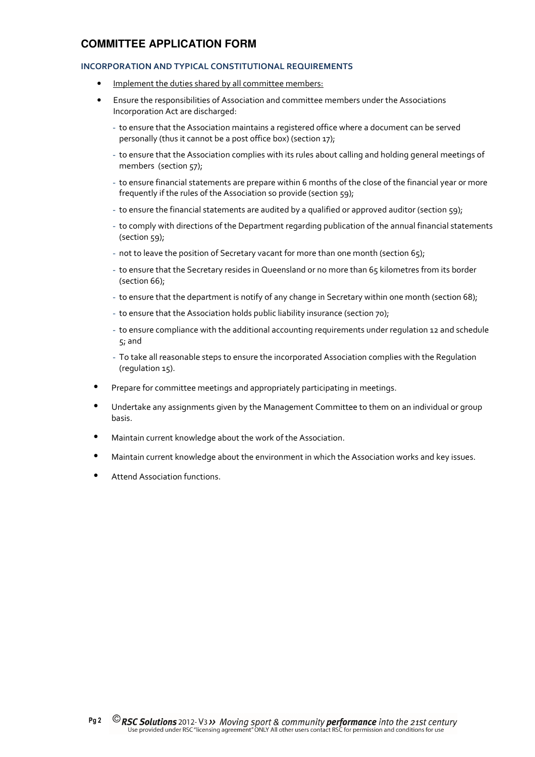# **COMMITTEE APPLICATION FORM**

## INCORPORATION AND TYPICAL CONSTITUTIONAL REQUIREMENTS

- Implement the duties shared by all committee members:
- Ensure the responsibilities of Association and committee members under the Associations Incorporation Act are discharged:
	- to ensure that the Association maintains a registered office where a document can be served personally (thus it cannot be a post office box) (section 17);
	- to ensure that the Association complies with its rules about calling and holding general meetings of members (section 57);
	- to ensure financial statements are prepare within 6 months of the close of the financial year or more frequently if the rules of the Association so provide (section 59);
	- to ensure the financial statements are audited by a qualified or approved auditor (section 59);
	- to comply with directions of the Department regarding publication of the annual financial statements (section 59);
	- not to leave the position of Secretary vacant for more than one month (section 65);
	- to ensure that the Secretary resides in Queensland or no more than 65 kilometres from its border (section 66);
	- to ensure that the department is notify of any change in Secretary within one month (section 68);
	- to ensure that the Association holds public liability insurance (section 70);
	- to ensure compliance with the additional accounting requirements under regulation 12 and schedule 5; and
	- To take all reasonable steps to ensure the incorporated Association complies with the Regulation (regulation 15).
- Prepare for committee meetings and appropriately participating in meetings.
- Undertake any assignments given by the Management Committee to them on an individual or group basis.
- Maintain current knowledge about the work of the Association.
- Maintain current knowledge about the environment in which the Association works and key issues.
- Attend Association functions.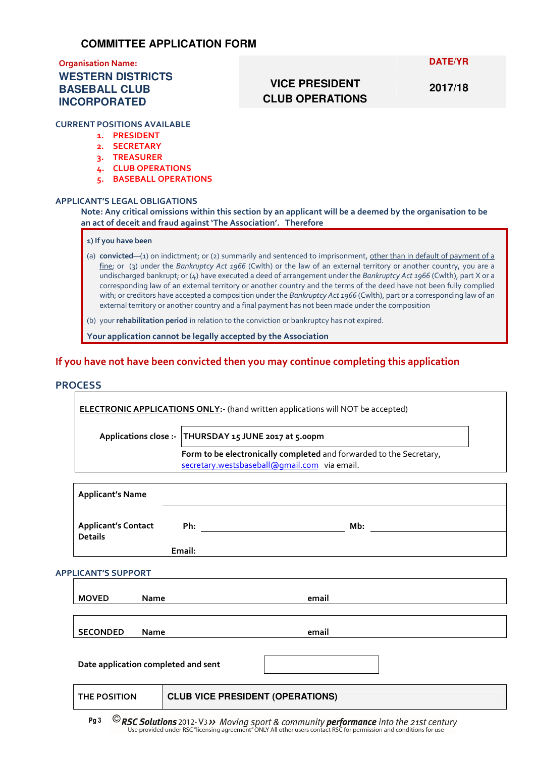# Organisation Name:

# **WESTERN DISTRICTS BASEBALL CLUB INCORPORATED**

## **DATE/YR**

# **VICE PRESIDENT CLUB OPERATIONS**

**2017/18** 

# CURRENT POSITIONS AVAILABLE

- 1. PRESIDENT
- 2. SECRETARY
- 3. TREASURER
- 4. CLUB OPERATIONS
- 5. BASEBALL OPERATIONS

## APPLICANT'S LEGAL OBLIGATIONS

Note: Any critical omissions within this section by an applicant will be a deemed by the organisation to be an act of deceit and fraud against 'The Association'. Therefore

#### 1) If you have been

(a) convicted—(1) on indictment; or (2) summarily and sentenced to imprisonment, other than in default of payment of a fine; or (3) under the Bankruptcy Act 1966 (Cwlth) or the law of an external territory or another country, you are a undischarged bankrupt; or (4) have executed a deed of arrangement under the Bankruptcy Act 1966 (Cwlth), part X or a corresponding law of an external territory or another country and the terms of the deed have not been fully complied with; or creditors have accepted a composition under the Bankruptcy Act 1966 (Cwlth), part or a corresponding law of an external territory or another country and a final payment has not been made under the composition

(b) your rehabilitation period in relation to the conviction or bankruptcy has not expired.

Your application cannot be legally accepted by the Association

## If you have not have been convicted then you may continue completing this application

## **PROCESS**

ELECTRONIC APPLICATIONS ONLY:- (hand written applications will NOT be accepted) Applications close :- THURSDAY 15 JUNE 2017 at 5.00pm Form to be electronically completed and forwarded to the Secretary, secretary.westsbaseball@gmail.com via email.

| <b>Applicant's Name</b>                      |             |                                         |  |       |  |  |  |  |
|----------------------------------------------|-------------|-----------------------------------------|--|-------|--|--|--|--|
| <b>Applicant's Contact</b><br><b>Details</b> |             | Ph:                                     |  | Mb:   |  |  |  |  |
|                                              |             | Email:                                  |  |       |  |  |  |  |
| <b>APPLICANT'S SUPPORT</b>                   |             |                                         |  |       |  |  |  |  |
| <b>MOVED</b>                                 | <b>Name</b> |                                         |  | email |  |  |  |  |
|                                              |             |                                         |  |       |  |  |  |  |
| <b>SECONDED</b>                              | Name        |                                         |  | email |  |  |  |  |
| Date application completed and sent          |             |                                         |  |       |  |  |  |  |
| <b>THE POSITION</b>                          |             | <b>CLUB VICE PRESIDENT (OPERATIONS)</b> |  |       |  |  |  |  |
|                                              |             |                                         |  |       |  |  |  |  |

**C** RSC Solutions 2012- V3 >> Moving sport & community performance into the 21st century Use provided under RSC "licensing agreement" ONLY All other users contact RSC for permission and conditions for use Pg 3